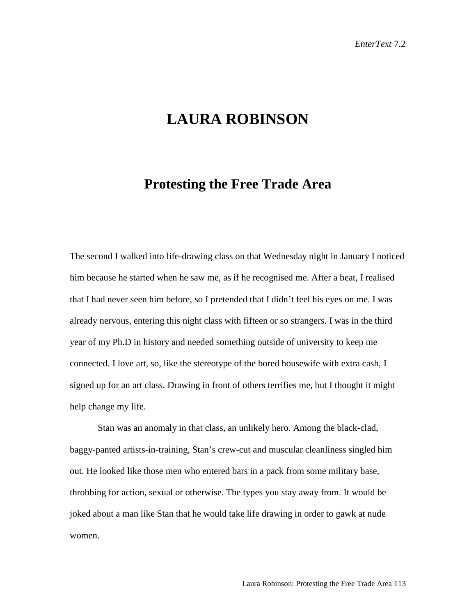## **LAURA ROBINSON**

## **Protesting the Free Trade Area**

The second I walked into life-drawing class on that Wednesday night in January I noticed him because he started when he saw me, as if he recognised me. After a beat, I realised that I had never seen him before, so I pretended that I didn't feel his eyes on me. I was already nervous, entering this night class with fifteen or so strangers. I was in the third year of my Ph.D in history and needed something outside of university to keep me connected. I love art, so, like the stereotype of the bored housewife with extra cash, I signed up for an art class. Drawing in front of others terrifies me, but I thought it might help change my life.

Stan was an anomaly in that class, an unlikely hero. Among the black-clad, baggy-panted artists-in-training, Stan's crew-cut and muscular cleanliness singled him out. He looked like those men who entered bars in a pack from some military base, throbbing for action, sexual or otherwise. The types you stay away from. It would be joked about a man like Stan that he would take life drawing in order to gawk at nude women.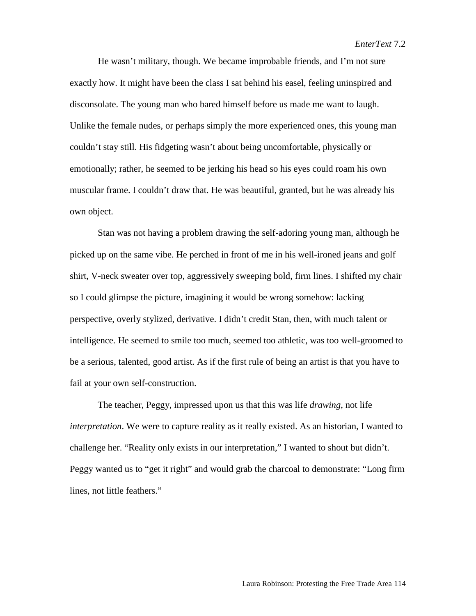He wasn't military, though. We became improbable friends, and I'm not sure exactly how. It might have been the class I sat behind his easel, feeling uninspired and disconsolate. The young man who bared himself before us made me want to laugh. Unlike the female nudes, or perhaps simply the more experienced ones, this young man couldn't stay still. His fidgeting wasn't about being uncomfortable, physically or emotionally; rather, he seemed to be jerking his head so his eyes could roam his own muscular frame. I couldn't draw that. He was beautiful, granted, but he was already his own object.

Stan was not having a problem drawing the self-adoring young man, although he picked up on the same vibe. He perched in front of me in his well-ironed jeans and golf shirt, V-neck sweater over top, aggressively sweeping bold, firm lines. I shifted my chair so I could glimpse the picture, imagining it would be wrong somehow: lacking perspective, overly stylized, derivative. I didn't credit Stan, then, with much talent or intelligence. He seemed to smile too much, seemed too athletic, was too well-groomed to be a serious, talented, good artist. As if the first rule of being an artist is that you have to fail at your own self-construction.

The teacher, Peggy, impressed upon us that this was life *drawing*, not life *interpretation*. We were to capture reality as it really existed. As an historian, I wanted to challenge her. "Reality only exists in our interpretation," I wanted to shout but didn't. Peggy wanted us to "get it right" and would grab the charcoal to demonstrate: "Long firm lines, not little feathers."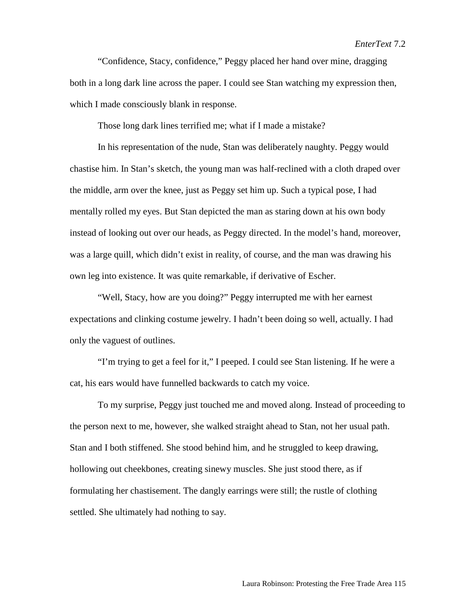## *EnterText* 7.2

"Confidence, Stacy, confidence," Peggy placed her hand over mine, dragging both in a long dark line across the paper. I could see Stan watching my expression then, which I made consciously blank in response.

Those long dark lines terrified me; what if I made a mistake?

In his representation of the nude, Stan was deliberately naughty. Peggy would chastise him. In Stan's sketch, the young man was half-reclined with a cloth draped over the middle, arm over the knee, just as Peggy set him up. Such a typical pose, I had mentally rolled my eyes. But Stan depicted the man as staring down at his own body instead of looking out over our heads, as Peggy directed. In the model's hand, moreover, was a large quill, which didn't exist in reality, of course, and the man was drawing his own leg into existence. It was quite remarkable, if derivative of Escher.

"Well, Stacy, how are you doing?" Peggy interrupted me with her earnest expectations and clinking costume jewelry. I hadn't been doing so well, actually. I had only the vaguest of outlines.

"I'm trying to get a feel for it," I peeped. I could see Stan listening. If he were a cat, his ears would have funnelled backwards to catch my voice.

To my surprise, Peggy just touched me and moved along. Instead of proceeding to the person next to me, however, she walked straight ahead to Stan, not her usual path. Stan and I both stiffened. She stood behind him, and he struggled to keep drawing, hollowing out cheekbones, creating sinewy muscles. She just stood there, as if formulating her chastisement. The dangly earrings were still; the rustle of clothing settled. She ultimately had nothing to say.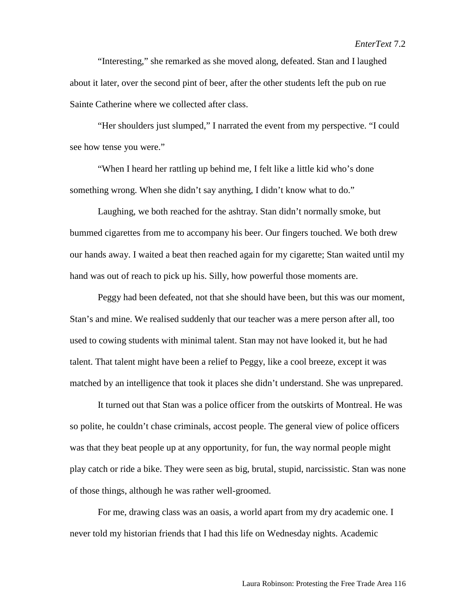"Interesting," she remarked as she moved along, defeated. Stan and I laughed about it later, over the second pint of beer, after the other students left the pub on rue Sainte Catherine where we collected after class.

"Her shoulders just slumped," I narrated the event from my perspective. "I could see how tense you were."

"When I heard her rattling up behind me, I felt like a little kid who's done something wrong. When she didn't say anything, I didn't know what to do."

Laughing, we both reached for the ashtray. Stan didn't normally smoke, but bummed cigarettes from me to accompany his beer. Our fingers touched. We both drew our hands away. I waited a beat then reached again for my cigarette; Stan waited until my hand was out of reach to pick up his. Silly, how powerful those moments are.

Peggy had been defeated, not that she should have been, but this was our moment, Stan's and mine. We realised suddenly that our teacher was a mere person after all, too used to cowing students with minimal talent. Stan may not have looked it, but he had talent. That talent might have been a relief to Peggy, like a cool breeze, except it was matched by an intelligence that took it places she didn't understand. She was unprepared.

It turned out that Stan was a police officer from the outskirts of Montreal. He was so polite, he couldn't chase criminals, accost people. The general view of police officers was that they beat people up at any opportunity, for fun, the way normal people might play catch or ride a bike. They were seen as big, brutal, stupid, narcissistic. Stan was none of those things, although he was rather well-groomed.

For me, drawing class was an oasis, a world apart from my dry academic one. I never told my historian friends that I had this life on Wednesday nights. Academic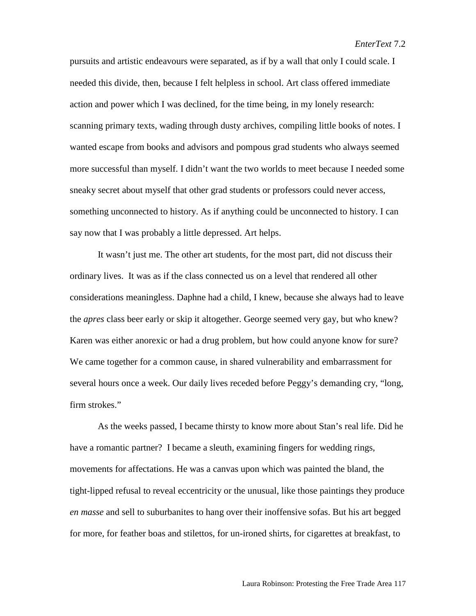pursuits and artistic endeavours were separated, as if by a wall that only I could scale. I needed this divide, then, because I felt helpless in school. Art class offered immediate action and power which I was declined, for the time being, in my lonely research: scanning primary texts, wading through dusty archives, compiling little books of notes. I wanted escape from books and advisors and pompous grad students who always seemed more successful than myself. I didn't want the two worlds to meet because I needed some sneaky secret about myself that other grad students or professors could never access, something unconnected to history. As if anything could be unconnected to history. I can say now that I was probably a little depressed. Art helps.

It wasn't just me. The other art students, for the most part, did not discuss their ordinary lives. It was as if the class connected us on a level that rendered all other considerations meaningless. Daphne had a child, I knew, because she always had to leave the *apres* class beer early or skip it altogether. George seemed very gay, but who knew? Karen was either anorexic or had a drug problem, but how could anyone know for sure? We came together for a common cause, in shared vulnerability and embarrassment for several hours once a week. Our daily lives receded before Peggy's demanding cry, "long, firm strokes."

As the weeks passed, I became thirsty to know more about Stan's real life. Did he have a romantic partner? I became a sleuth, examining fingers for wedding rings, movements for affectations. He was a canvas upon which was painted the bland, the tight-lipped refusal to reveal eccentricity or the unusual, like those paintings they produce *en masse* and sell to suburbanites to hang over their inoffensive sofas. But his art begged for more, for feather boas and stilettos, for un-ironed shirts, for cigarettes at breakfast, to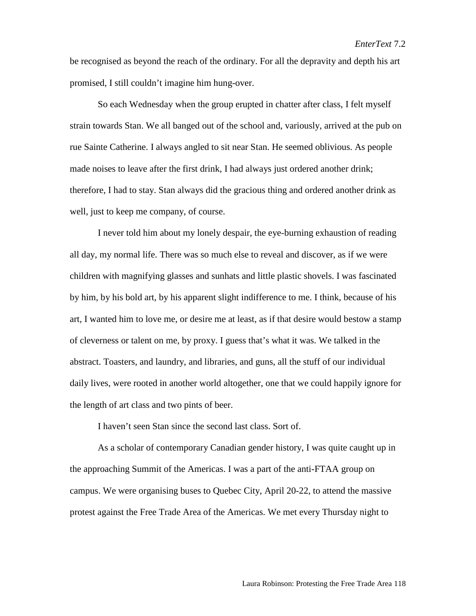be recognised as beyond the reach of the ordinary. For all the depravity and depth his art promised, I still couldn't imagine him hung-over.

So each Wednesday when the group erupted in chatter after class, I felt myself strain towards Stan. We all banged out of the school and, variously, arrived at the pub on rue Sainte Catherine. I always angled to sit near Stan. He seemed oblivious. As people made noises to leave after the first drink, I had always just ordered another drink; therefore, I had to stay. Stan always did the gracious thing and ordered another drink as well, just to keep me company, of course.

I never told him about my lonely despair, the eye-burning exhaustion of reading all day, my normal life. There was so much else to reveal and discover, as if we were children with magnifying glasses and sunhats and little plastic shovels. I was fascinated by him, by his bold art, by his apparent slight indifference to me. I think, because of his art, I wanted him to love me, or desire me at least, as if that desire would bestow a stamp of cleverness or talent on me, by proxy. I guess that's what it was. We talked in the abstract. Toasters, and laundry, and libraries, and guns, all the stuff of our individual daily lives, were rooted in another world altogether, one that we could happily ignore for the length of art class and two pints of beer.

I haven't seen Stan since the second last class. Sort of.

As a scholar of contemporary Canadian gender history, I was quite caught up in the approaching Summit of the Americas. I was a part of the anti-FTAA group on campus. We were organising buses to Quebec City, April 20-22, to attend the massive protest against the Free Trade Area of the Americas. We met every Thursday night to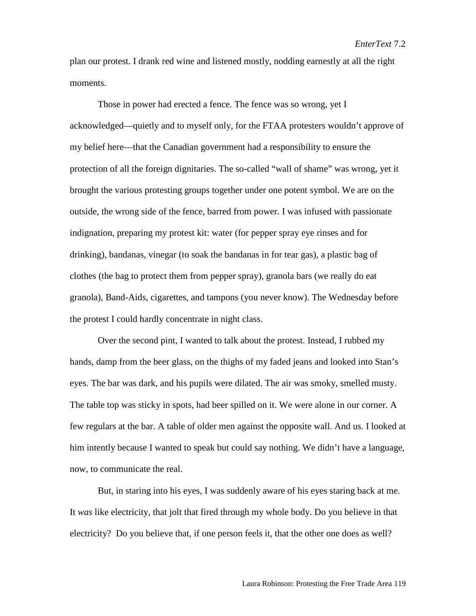plan our protest. I drank red wine and listened mostly, nodding earnestly at all the right moments.

Those in power had erected a fence. The fence was so wrong, yet I acknowledged—quietly and to myself only, for the FTAA protesters wouldn't approve of my belief here—that the Canadian government had a responsibility to ensure the protection of all the foreign dignitaries. The so-called "wall of shame" was wrong, yet it brought the various protesting groups together under one potent symbol. We are on the outside, the wrong side of the fence, barred from power. I was infused with passionate indignation, preparing my protest kit: water (for pepper spray eye rinses and for drinking), bandanas, vinegar (to soak the bandanas in for tear gas), a plastic bag of clothes (the bag to protect them from pepper spray), granola bars (we really do eat granola), Band-Aids, cigarettes, and tampons (you never know). The Wednesday before the protest I could hardly concentrate in night class.

Over the second pint, I wanted to talk about the protest. Instead, I rubbed my hands, damp from the beer glass, on the thighs of my faded jeans and looked into Stan's eyes. The bar was dark, and his pupils were dilated. The air was smoky, smelled musty. The table top was sticky in spots, had beer spilled on it. We were alone in our corner. A few regulars at the bar. A table of older men against the opposite wall. And us. I looked at him intently because I wanted to speak but could say nothing. We didn't have a language, now, to communicate the real.

But, in staring into his eyes, I was suddenly aware of his eyes staring back at me. It *was* like electricity, that jolt that fired through my whole body. Do you believe in that electricity? Do you believe that, if one person feels it, that the other one does as well?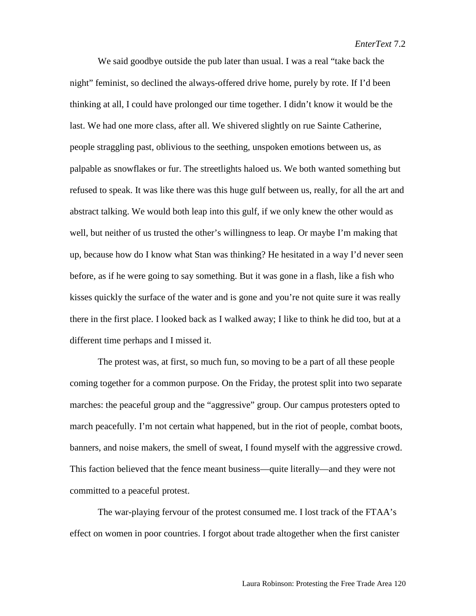We said goodbye outside the pub later than usual. I was a real "take back the night" feminist, so declined the always-offered drive home, purely by rote. If I'd been thinking at all, I could have prolonged our time together. I didn't know it would be the last. We had one more class, after all. We shivered slightly on rue Sainte Catherine, people straggling past, oblivious to the seething, unspoken emotions between us, as palpable as snowflakes or fur. The streetlights haloed us. We both wanted something but refused to speak. It was like there was this huge gulf between us, really, for all the art and abstract talking. We would both leap into this gulf, if we only knew the other would as well, but neither of us trusted the other's willingness to leap. Or maybe I'm making that up, because how do I know what Stan was thinking? He hesitated in a way I'd never seen before, as if he were going to say something. But it was gone in a flash, like a fish who kisses quickly the surface of the water and is gone and you're not quite sure it was really there in the first place. I looked back as I walked away; I like to think he did too, but at a different time perhaps and I missed it.

The protest was, at first, so much fun, so moving to be a part of all these people coming together for a common purpose. On the Friday, the protest split into two separate marches: the peaceful group and the "aggressive" group. Our campus protesters opted to march peacefully. I'm not certain what happened, but in the riot of people, combat boots, banners, and noise makers, the smell of sweat, I found myself with the aggressive crowd. This faction believed that the fence meant business—quite literally—and they were not committed to a peaceful protest.

The war-playing fervour of the protest consumed me. I lost track of the FTAA's effect on women in poor countries. I forgot about trade altogether when the first canister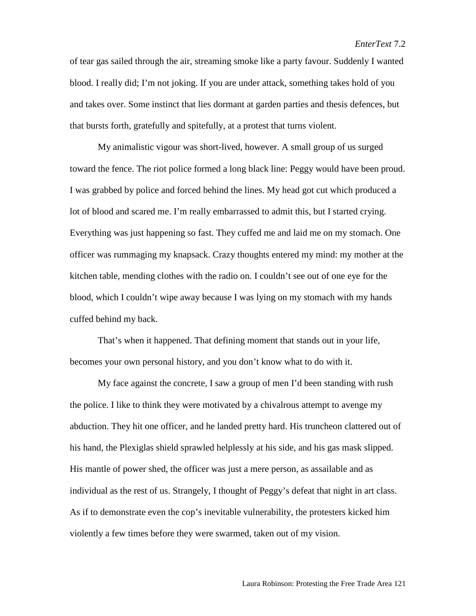of tear gas sailed through the air, streaming smoke like a party favour. Suddenly I wanted blood. I really did; I'm not joking. If you are under attack, something takes hold of you and takes over. Some instinct that lies dormant at garden parties and thesis defences, but that bursts forth, gratefully and spitefully, at a protest that turns violent.

My animalistic vigour was short-lived, however. A small group of us surged toward the fence. The riot police formed a long black line: Peggy would have been proud. I was grabbed by police and forced behind the lines. My head got cut which produced a lot of blood and scared me. I'm really embarrassed to admit this, but I started crying. Everything was just happening so fast. They cuffed me and laid me on my stomach. One officer was rummaging my knapsack. Crazy thoughts entered my mind: my mother at the kitchen table, mending clothes with the radio on. I couldn't see out of one eye for the blood, which I couldn't wipe away because I was lying on my stomach with my hands cuffed behind my back.

That's when it happened. That defining moment that stands out in your life, becomes your own personal history, and you don't know what to do with it.

My face against the concrete, I saw a group of men I'd been standing with rush the police. I like to think they were motivated by a chivalrous attempt to avenge my abduction. They hit one officer, and he landed pretty hard. His truncheon clattered out of his hand, the Plexiglas shield sprawled helplessly at his side, and his gas mask slipped. His mantle of power shed, the officer was just a mere person, as assailable and as individual as the rest of us. Strangely, I thought of Peggy's defeat that night in art class. As if to demonstrate even the cop's inevitable vulnerability, the protesters kicked him violently a few times before they were swarmed, taken out of my vision.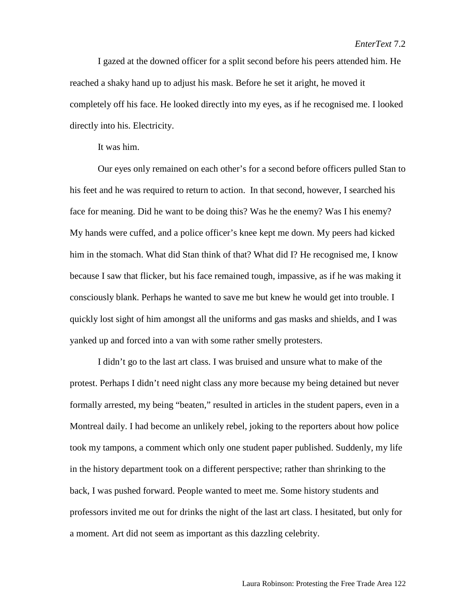I gazed at the downed officer for a split second before his peers attended him. He reached a shaky hand up to adjust his mask. Before he set it aright, he moved it completely off his face. He looked directly into my eyes, as if he recognised me. I looked directly into his. Electricity.

It was him.

Our eyes only remained on each other's for a second before officers pulled Stan to his feet and he was required to return to action. In that second, however, I searched his face for meaning. Did he want to be doing this? Was he the enemy? Was I his enemy? My hands were cuffed, and a police officer's knee kept me down. My peers had kicked him in the stomach. What did Stan think of that? What did I? He recognised me, I know because I saw that flicker, but his face remained tough, impassive, as if he was making it consciously blank. Perhaps he wanted to save me but knew he would get into trouble. I quickly lost sight of him amongst all the uniforms and gas masks and shields, and I was yanked up and forced into a van with some rather smelly protesters.

I didn't go to the last art class. I was bruised and unsure what to make of the protest. Perhaps I didn't need night class any more because my being detained but never formally arrested, my being "beaten," resulted in articles in the student papers, even in a Montreal daily. I had become an unlikely rebel, joking to the reporters about how police took my tampons, a comment which only one student paper published. Suddenly, my life in the history department took on a different perspective; rather than shrinking to the back, I was pushed forward. People wanted to meet me. Some history students and professors invited me out for drinks the night of the last art class. I hesitated, but only for a moment. Art did not seem as important as this dazzling celebrity.